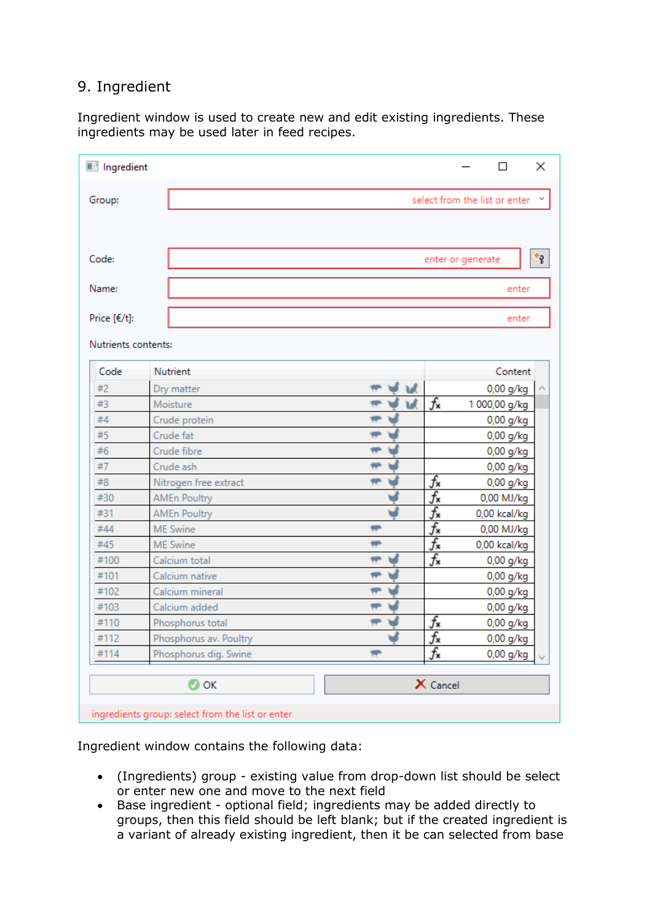## 9. Ingredient

Ingredient window is used to create new and edit existing ingredients. These ingredients may be used later in feed recipes.

| I Ingredient        |                        |                |                  |                               | П             | $\times$       |
|---------------------|------------------------|----------------|------------------|-------------------------------|---------------|----------------|
| Group:              |                        |                |                  | select from the list or enter |               |                |
|                     |                        |                |                  |                               |               |                |
|                     |                        |                |                  |                               |               |                |
| Code:               |                        |                |                  | enter or generate             |               | $\mathbf{f}^*$ |
| Name:               |                        |                |                  |                               | enter         |                |
| Price $[É/t]$ :     |                        |                |                  |                               | enter         |                |
|                     |                        |                |                  |                               |               |                |
| Nutrients contents: |                        |                |                  |                               |               |                |
| Code                | Nutrient               |                |                  |                               | Content       |                |
| #2                  | Dry matter             | W.<br>₩        |                  |                               | $0,00$ g/kg   |                |
| #3                  | Moisture               | υł<br>₩        | $f_{\mathbf{x}}$ |                               | 1 000,00 g/kg |                |
| #4                  | Crude protein          | ┯              |                  |                               | 0,00 g/kg     |                |
| #5                  | Crude fat              | ₩              |                  |                               | $0,00$ g/kg   |                |
| #6                  | Crude fibre            | ₩              |                  |                               | 0,00 g/kg     |                |
| #7                  | Crude ash              | $\blacksquare$ |                  |                               | 0,00 g/kg     |                |
| #8                  | Nitrogen free extract  | ₩              | $f_{\mathbf{x}}$ |                               | 0,00 g/kg     |                |
| #30                 | <b>AMEn Poultry</b>    |                | $f_{\mathbf{x}}$ |                               | 0,00 MJ/kg    |                |
| #31                 | <b>AMEn Poultry</b>    |                | $f_{\mathbf{x}}$ |                               | 0,00 kcal/kg  |                |
| #44                 | <b>ME</b> Swine        | ┯              | $f_{\mathbf{x}}$ |                               | 0,00 MJ/kg    |                |
| #45                 | <b>ME</b> Swine        | $\blacksquare$ | $f_{\mathbf{x}}$ |                               | 0,00 kcal/kg  |                |
| #100                | Calcium total          | $\blacksquare$ | $f_{\mathbf{x}}$ |                               | $0,00$ g/kg   |                |
| #101                | Calcium native         | $\blacksquare$ |                  |                               | $0,00$ g/kg   |                |
| #102                | Calcium mineral        | ₩              |                  |                               | $0,00$ g/kg   |                |
| #103                | Calcium added          | ₩              |                  |                               | $0,00$ g/kg   |                |
| #110                | Phosphorus total       | $\blacksquare$ | $f_{\mathbf{x}}$ |                               | 0,00 g/kg     |                |
| #112                | Phosphorus av. Poultry |                | $f_{x}$          |                               | 0,00 g/kg     |                |
| #114                | Phosphorus dig. Swine  | $\blacksquare$ | $f_{\mathbf{x}}$ |                               | 0,00 g/kg     |                |
|                     | $\bullet$ ok           |                | $\times$ Cancel  |                               |               |                |
|                     |                        |                |                  |                               |               |                |

Ingredient window contains the following data:

- (Ingredients) group existing value from drop-down list should be select or enter new one and move to the next field
- Base ingredient optional field; ingredients may be added directly to groups, then this field should be left blank; but if the created ingredient is a variant of already existing ingredient, then it be can selected from base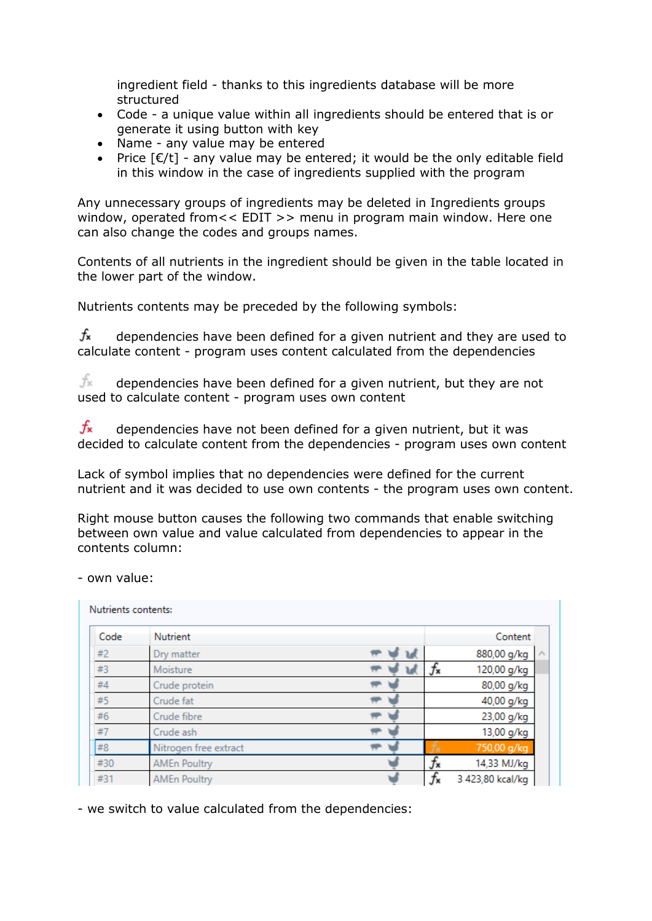ingredient field - thanks to this ingredients database will be more structured

- Code a unique value within all ingredients should be entered that is or generate it using button with key
- Name any value may be entered
- Price  $\lceil \frac{\epsilon}{t} \rceil$  any value may be entered; it would be the only editable field in this window in the case of ingredients supplied with the program

Any unnecessary groups of ingredients may be deleted in Ingredients groups window, operated from << EDIT >> menu in program main window. Here one can also change the codes and groups names.

Contents of all nutrients in the ingredient should be given in the table located in the lower part of the window.

Nutrients contents may be preceded by the following symbols:

 $f_{\mathbf{x}}$ dependencies have been defined for a given nutrient and they are used to calculate content - program uses content calculated from the dependencies

fx. dependencies have been defined for a given nutrient, but they are not used to calculate content - program uses own content

 $f_{\mathbf{x}}$ dependencies have not been defined for a given nutrient, but it was decided to calculate content from the dependencies - program uses own content

Lack of symbol implies that no dependencies were defined for the current nutrient and it was decided to use own contents - the program uses own content.

Right mouse button causes the following two commands that enable switching between own value and value calculated from dependencies to appear in the contents column:

- own value:

| Code | Nutrient              |    |    | Content          |
|------|-----------------------|----|----|------------------|
| #2   | Dry matter            | υd |    | 880,00 g/kg      |
| #3   | Moisture              |    | Jх | 120,00 g/kg      |
| #4   | Crude protein         |    |    | 80,00 g/kg       |
| #5   | Crude fat             |    |    | 40,00 g/kg       |
| #6   | Crude fibre           |    |    | 23,00 g/kg       |
| #7   | Crude ash             |    |    | 13,00 g/kg       |
| #8   | Nitrogen free extract |    |    | 750,00 g/kg      |
| #30  | <b>AMEn Poultry</b>   |    |    | 14,33 MJ/kg      |
| #31  | <b>AMEn Poultry</b>   |    |    | 3 423,80 kcal/kg |

- we switch to value calculated from the dependencies: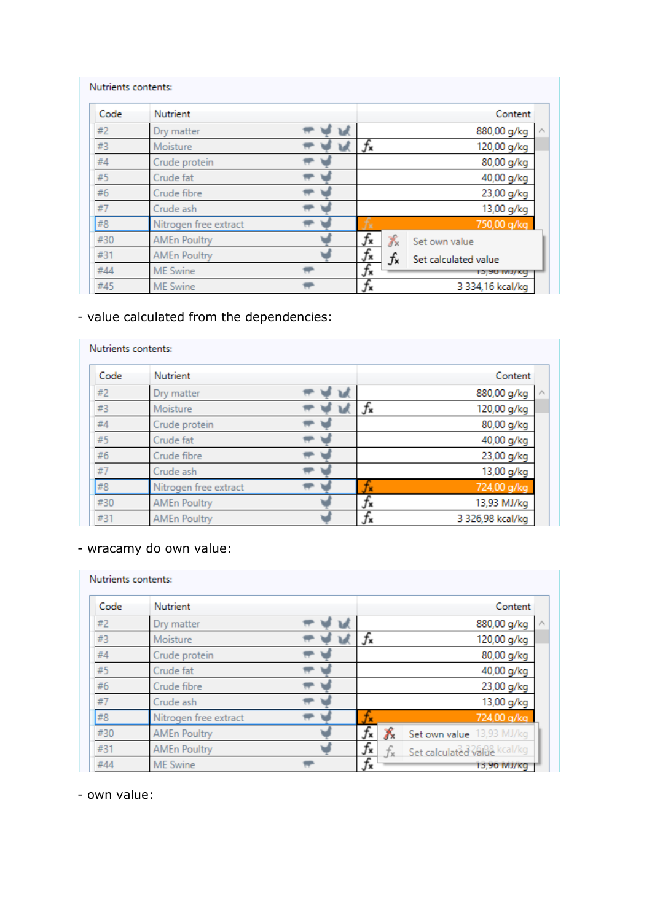## Nutrients contents:

| Code | Nutrient              | Content                                        |
|------|-----------------------|------------------------------------------------|
| #2   | Dry matter            | 880,00 g/kg                                    |
| #3   | Moisture              | 120,00 g/kg<br>J×                              |
| #4   | Crude protein         | 80,00 g/kg                                     |
| #5   | Crude fat             | 40,00 g/kg                                     |
| #6   | Crude fibre           | 23,00 g/kg                                     |
| #7   | Crude ash             | 13,00 g/kg                                     |
| #8   | Nitrogen free extract | 750,00 g/kg                                    |
| #30  | <b>AMEn Poultry</b>   | Set own value<br>J×<br>Ă                       |
| #31  | <b>AMEn Poultry</b>   | J×<br>$f_{\mathsf{x}}$<br>Set calculated value |
| #44  | <b>ME</b> Swine       | f×<br><b>10,90 IVIJ/KU</b>                     |
| #45  | <b>ME</b> Swine       | 3 334,16 kcal/kg<br>Jx                         |

## - value calculated from the dependencies:

| Code | Nutrient              |    | Content          |
|------|-----------------------|----|------------------|
| #2   | Dry matter            |    | 880,00 g/kg      |
| #3   | Moisture              | Ĵх | 120,00 g/kg      |
| #4   | Crude protein         |    | 80,00 g/kg       |
| #5   | Crude fat             |    | 40,00 g/kg       |
| #6   | Crude fibre           |    | 23,00 g/kg       |
| #7   | Crude ash             |    | 13,00 g/kg       |
| #8   | Nitrogen free extract |    | 724,00 g/kg      |
| #30  | <b>AMEn Poultry</b>   | J× | 13,93 MJ/kg      |
| #31  | <b>AMEn Poultry</b>   |    | 3 326,98 kcal/kg |

## - wracamy do own value:

| Code | Nutrient              | Content                                   |
|------|-----------------------|-------------------------------------------|
| #2   | Dry matter            | 880,00 g/kg                               |
| #3   | Moisture              | 120,00 g/kg<br>J×                         |
| #4   | Crude protein         | 80,00 g/kg                                |
| #5   | Crude fat             | 40,00 g/kg                                |
| #6   | Crude fibre           | 23,00 g/kg                                |
| #7   | Crude ash             | 13,00 g/kg                                |
| #8   | Nitrogen free extract | 724,00 g/kg                               |
| #30  | <b>AMEn Poultry</b>   | Х<br>Set own value 13,93 MJ/kg<br>J×      |
| #31  | <b>AMEn Poultry</b>   | Set calculated Value kcal/kg<br>fx.<br>J× |
| #44  | <b>ME</b> Swine       | 13.90 MJ/KG<br>Jx                         |

- own value: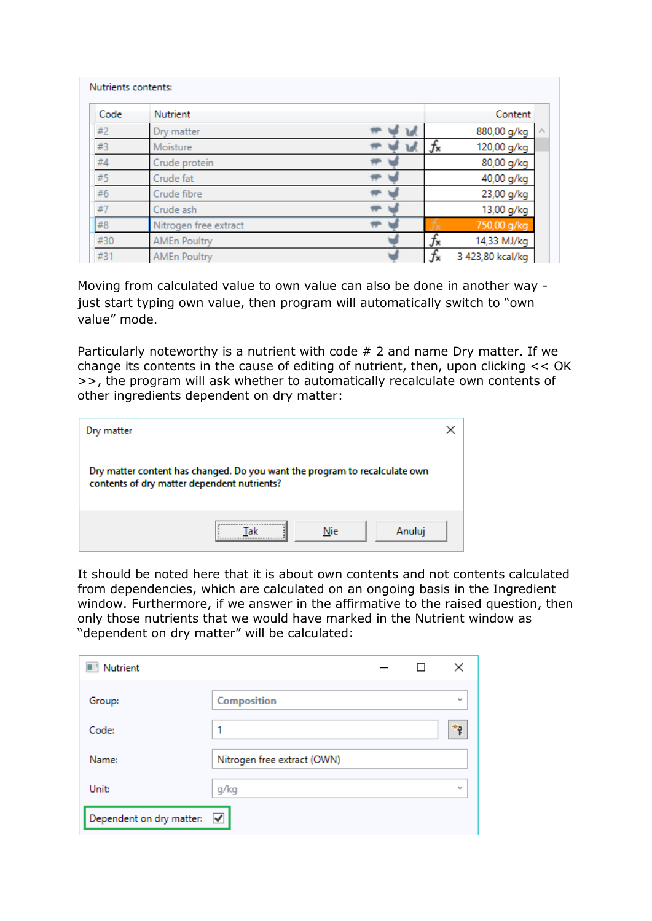| Code | Nutrient              |   |    | Content          |
|------|-----------------------|---|----|------------------|
| #2   | Dry matter            | ν |    | 880,00 g/kg      |
| #3   | Moisture              |   | Ĵх | 120,00 g/kg      |
| #4   | Crude protein         |   |    | 80,00 g/kg       |
| #5   | Crude fat             |   |    | 40,00 g/kg       |
| #6   | Crude fibre           |   |    | 23,00 g/kg       |
| #7   | Crude ash             |   |    | 13,00 g/kg       |
| #8   | Nitrogen free extract |   |    | 750,00 g/kg      |
| #30  | <b>AMEn Poultry</b>   |   | Ĵх | 14,33 MJ/kg      |
| #31  | <b>AMEn Poultry</b>   |   | Jх | 3 423,80 kcal/kg |

Moving from calculated value to own value can also be done in another way just start typing own value, then program will automatically switch to "own value" mode.

Particularly noteworthy is a nutrient with code # 2 and name Dry matter. If we change its contents in the cause of editing of nutrient, then, upon clicking << OK >>, the program will ask whether to automatically recalculate own contents of other ingredients dependent on dry matter:

| Dry matter                                                                                                                |            |        |
|---------------------------------------------------------------------------------------------------------------------------|------------|--------|
| Dry matter content has changed. Do you want the program to recalculate own<br>contents of dry matter dependent nutrients? |            |        |
|                                                                                                                           | <b>Nie</b> | Anuluj |

It should be noted here that it is about own contents and not contents calculated from dependencies, which are calculated on an ongoing basis in the Ingredient window. Furthermore, if we answer in the affirmative to the raised question, then only those nutrients that we would have marked in the Nutrient window as "dependent on dry matter" will be calculated:

| Nutrient                 |                             |  | ×      |
|--------------------------|-----------------------------|--|--------|
| Group:                   | <b>Composition</b>          |  | $\sim$ |
| Code:                    | 1                           |  | *?     |
| Name:                    | Nitrogen free extract (OWN) |  |        |
| Unit:                    | g/kg                        |  | $\sim$ |
| Dependent on dry matter: | $\overline{\mathbf{v}}$     |  |        |